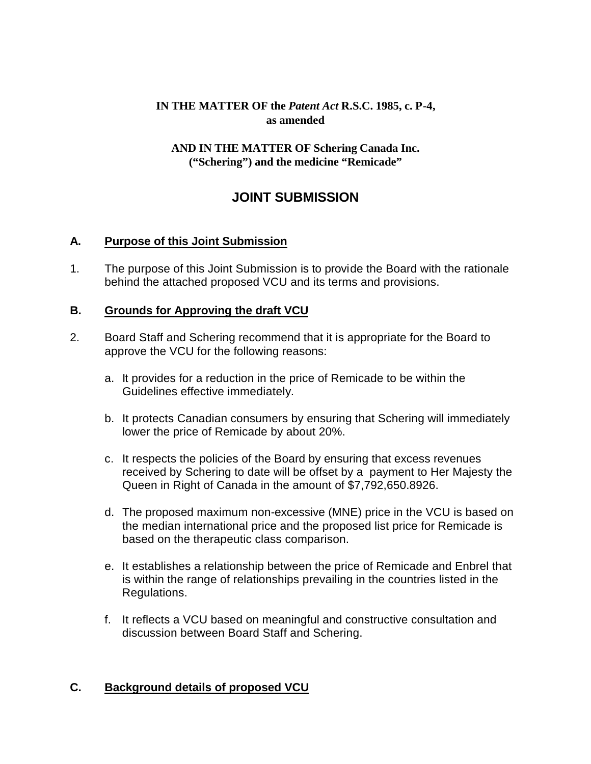# **IN THE MATTER OF the** *Patent Act* **R.S.C. 1985, c. P-4, as amended**

#### **AND IN THE MATTER OF Schering Canada Inc. ("Schering") and the medicine "Remicade"**

# **JOINT SUBMISSION**

### **A. Purpose of this Joint Submission**

1. The purpose of this Joint Submission is to provide the Board with the rationale behind the attached proposed VCU and its terms and provisions.

### **B. Grounds for Approving the draft VCU**

- 2. Board Staff and Schering recommend that it is appropriate for the Board to approve the VCU for the following reasons:
	- a. It provides for a reduction in the price of Remicade to be within the Guidelines effective immediately.
	- b. It protects Canadian consumers by ensuring that Schering will immediately lower the price of Remicade by about 20%.
	- c. It respects the policies of the Board by ensuring that excess revenues received by Schering to date will be offset by a payment to Her Majesty the Queen in Right of Canada in the amount of \$7,792,650.8926.
	- d. The proposed maximum non-excessive (MNE) price in the VCU is based on the median international price and the proposed list price for Remicade is based on the therapeutic class comparison.
	- e. It establishes a relationship between the price of Remicade and Enbrel that is within the range of relationships prevailing in the countries listed in the Regulations.
	- f. It reflects a VCU based on meaningful and constructive consultation and discussion between Board Staff and Schering.

# **C. Background details of proposed VCU**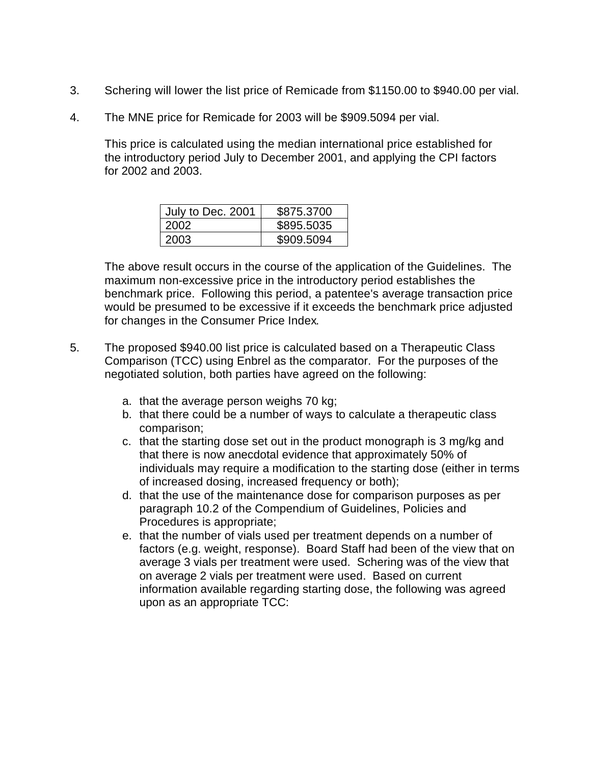- 3. Schering will lower the list price of Remicade from \$1150.00 to \$940.00 per vial.
- 4. The MNE price for Remicade for 2003 will be \$909.5094 per vial.

This price is calculated using the median international price established for the introductory period July to December 2001, and applying the CPI factors for 2002 and 2003.

| July to Dec. 2001 | \$875.3700 |
|-------------------|------------|
| 2002              | \$895.5035 |
| 2003              | \$909.5094 |

The above result occurs in the course of the application of the Guidelines. The maximum non-excessive price in the introductory period establishes the benchmark price. Following this period, a patentee's average transaction price would be presumed to be excessive if it exceeds the benchmark price adjusted for changes in the Consumer Price Index.

- 5. The proposed \$940.00 list price is calculated based on a Therapeutic Class Comparison (TCC) using Enbrel as the comparator. For the purposes of the negotiated solution, both parties have agreed on the following:
	- a. that the average person weighs 70 kg;
	- b. that there could be a number of ways to calculate a therapeutic class comparison;
	- c. that the starting dose set out in the product monograph is 3 mg/kg and that there is now anecdotal evidence that approximately 50% of individuals may require a modification to the starting dose (either in terms of increased dosing, increased frequency or both);
	- d. that the use of the maintenance dose for comparison purposes as per paragraph 10.2 of the Compendium of Guidelines, Policies and Procedures is appropriate;
	- e. that the number of vials used per treatment depends on a number of factors (e.g. weight, response). Board Staff had been of the view that on average 3 vials per treatment were used. Schering was of the view that on average 2 vials per treatment were used. Based on current information available regarding starting dose, the following was agreed upon as an appropriate TCC: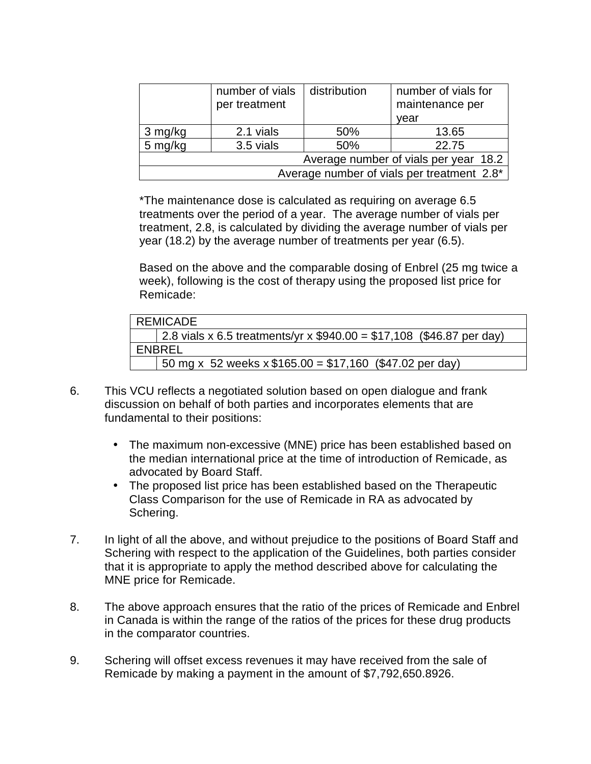|                                            | number of vials<br>per treatment | distribution | number of vials for<br>maintenance per |
|--------------------------------------------|----------------------------------|--------------|----------------------------------------|
|                                            |                                  |              | vear                                   |
| 3 mg/kg                                    | 2.1 vials                        | 50%          | 13.65                                  |
| 5 mg/kg                                    | 3.5 vials                        | 50%          | 22.75                                  |
| Average number of vials per year 18.2      |                                  |              |                                        |
| Average number of vials per treatment 2.8* |                                  |              |                                        |

\*The maintenance dose is calculated as requiring on average 6.5 treatments over the period of a year. The average number of vials per treatment, 2.8, is calculated by dividing the average number of vials per year (18.2) by the average number of treatments per year (6.5).

Based on the above and the comparable dosing of Enbrel (25 mg twice a week), following is the cost of therapy using the proposed list price for Remicade:

|        | REMICADE                                                              |
|--------|-----------------------------------------------------------------------|
|        | 2.8 vials x 6.5 treatments/yr x $$940.00 = $17,108$ (\$46.87 per day) |
| ENBREL |                                                                       |
|        | 50 mg x 52 weeks $x $165.00 = $17,160$ (\$47.02 per day)              |

- 6. This VCU reflects a negotiated solution based on open dialogue and frank discussion on behalf of both parties and incorporates elements that are fundamental to their positions:
	- The maximum non-excessive (MNE) price has been established based on the median international price at the time of introduction of Remicade, as advocated by Board Staff.
	- The proposed list price has been established based on the Therapeutic Class Comparison for the use of Remicade in RA as advocated by Schering.
- 7. In light of all the above, and without prejudice to the positions of Board Staff and Schering with respect to the application of the Guidelines, both parties consider that it is appropriate to apply the method described above for calculating the MNE price for Remicade.
- 8. The above approach ensures that the ratio of the prices of Remicade and Enbrel in Canada is within the range of the ratios of the prices for these drug products in the comparator countries.
- 9. Schering will offset excess revenues it may have received from the sale of Remicade by making a payment in the amount of \$7,792,650.8926.